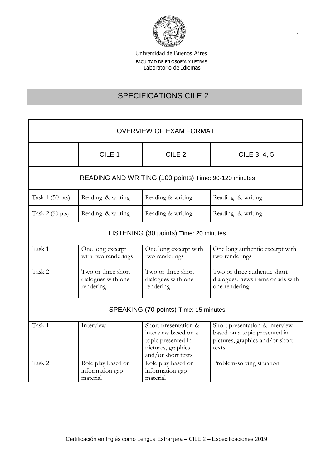

# SPECIFICATIONS CILE 2

| <b>OVERVIEW OF EXAM FORMAT</b>                        |                                                       |                                                                                                                |                                                                                                             |  |
|-------------------------------------------------------|-------------------------------------------------------|----------------------------------------------------------------------------------------------------------------|-------------------------------------------------------------------------------------------------------------|--|
|                                                       | CILE <sub>1</sub>                                     | CILE <sub>2</sub>                                                                                              | CILE 3, 4, 5                                                                                                |  |
| READING AND WRITING (100 points) Time: 90-120 minutes |                                                       |                                                                                                                |                                                                                                             |  |
| Task $1(50 \text{ pts})$                              | Reading & writing                                     | Reading & writing                                                                                              | Reading & writing                                                                                           |  |
| Task $2(50 \text{ pts})$                              | Reading & writing                                     | Reading & writing                                                                                              | Reading & writing                                                                                           |  |
| LISTENING (30 points) Time: 20 minutes                |                                                       |                                                                                                                |                                                                                                             |  |
| Task 1                                                | One long excerpt<br>with two renderings               | One long excerpt with<br>two renderings                                                                        | One long authentic excerpt with<br>two renderings                                                           |  |
| Task 2                                                | Two or three short<br>dialogues with one<br>rendering | Two or three short<br>dialogues with one<br>rendering                                                          | Two or three authentic short<br>dialogues, news items or ads with<br>one rendering                          |  |
| SPEAKING (70 points) Time: 15 minutes                 |                                                       |                                                                                                                |                                                                                                             |  |
| Task 1                                                | Interview                                             | Short presentation &<br>interview based on a<br>topic presented in<br>pictures, graphics<br>and/or short texts | Short presentation & interview<br>based on a topic presented in<br>pictures, graphics and/or short<br>texts |  |
| Task 2                                                | Role play based on<br>information gap<br>material     | Role play based on<br>information gap<br>material                                                              | Problem-solving situation                                                                                   |  |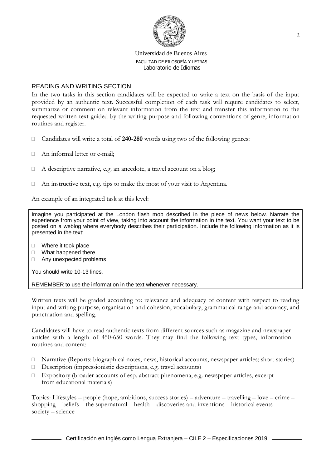

# READING AND WRITING SECTION

In the two tasks in this section candidates will be expected to write a text on the basis of the input provided by an authentic text. Successful completion of each task will require candidates to select, summarize or comment on relevant information from the text and transfer this information to the requested written text guided by the writing purpose and following conventions of genre, information routines and register.

- Candidates will write a total of **240-280** words using two of the following genres:
- □ An informal letter or e-mail;
- $\Box$  A descriptive narrative, e.g. an anecdote, a travel account on a blog;
- $\Box$  An instructive text, e.g. tips to make the most of your visit to Argentina.

An example of an integrated task at this level:

Imagine you participated at the London flash mob described in the piece of news below. Narrate the experience from your point of view, taking into account the information in the text. You want your text to be posted on a weblog where everybody describes their participation. Include the following information as it is presented in the text:

- □ Where it took place
- □ What happened there
- □ Any unexpected problems

You should write 10-13 lines.

REMEMBER to use the information in the text whenever necessary.

Written texts will be graded according to: relevance and adequacy of content with respect to reading input and writing purpose, organisation and cohesion, vocabulary, grammatical range and accuracy, and punctuation and spelling.

Candidates will have to read authentic texts from different sources such as magazine and newspaper articles with a length of 450-650 words. They may find the following text types, information routines and content:

- Narrative (Reports: biographical notes, news, historical accounts, newspaper articles; short stories)
- Description (impressionistic descriptions, e.g. travel accounts)
- Expository (broader accounts of esp. abstract phenomena, e.g. newspaper articles, excerpt from educational materials)

Topics: Lifestyles – people (hope, ambitions, success stories) – adventure – travelling – love – crime – shopping – beliefs – the supernatural – health – discoveries and inventions – historical events – society – science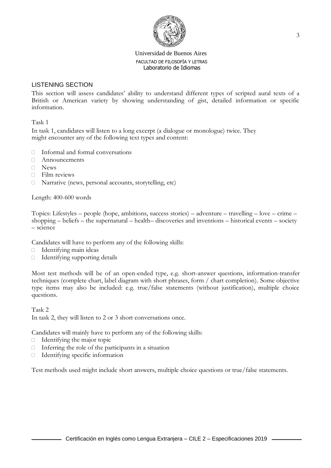

# LISTENING SECTION

This section will assess candidates' ability to understand different types of scripted aural texts of a British or American variety by showing understanding of gist, detailed information or specific information.

Task 1

In task 1, candidates will listen to a long excerpt (a dialogue or monologue) twice. They might encounter any of the following text types and content:

- $\Box$  Informal and formal conversations
- Announcements
- News
- $\Box$  Film reviews
- □ Narrative (news, personal accounts, storytelling, etc)

Length: 400-600 words

Topics: Lifestyles – people (hope, ambitions, success stories) – adventure – travelling – love – crime – shopping – beliefs – the supernatural – health– discoveries and inventions – historical events – society – science

Candidates will have to perform any of the following skills:

- $\Box$  Identifying main ideas
- $\Box$  Identifying supporting details

Most test methods will be of an open-ended type, e.g. short-answer questions, information-transfer techniques (complete chart, label diagram with short phrases, form / chart completion). Some objective type items may also be included: e.g. true/false statements (without justification), multiple choice questions.

Task 2 In task 2, they will listen to 2 or 3 short conversations once.

Candidates will mainly have to perform any of the following skills:

- $\Box$  Identifying the major topic
- $\Box$  Inferring the role of the participants in a situation
- Identifying specific information

Test methods used might include short answers, multiple choice questions or true/false statements.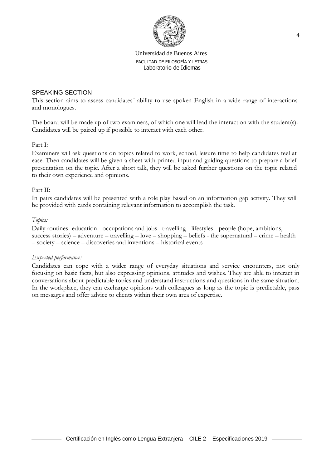

# SPEAKING SECTION

This section aims to assess candidates´ ability to use spoken English in a wide range of interactions and monologues.

The board will be made up of two examiners, of which one will lead the interaction with the student(s). Candidates will be paired up if possible to interact with each other.

Part I:

Examiners will ask questions on topics related to work, school, leisure time to help candidates feel at ease. Then candidates will be given a sheet with printed input and guiding questions to prepare a brief presentation on the topic. After a short talk, they will be asked further questions on the topic related to their own experience and opinions.

#### Part II:

In pairs candidates will be presented with a role play based on an information gap activity. They will be provided with cards containing relevant information to accomplish the task.

#### *Topics:*

Daily routines- education - occupations and jobs– travelling - lifestyles - people (hope, ambitions, success stories) – adventure – travelling – love – shopping – beliefs - the supernatural – crime – health – society – science – discoveries and inventions – historical events

#### *Expected performance:*

Candidates can cope with a wider range of everyday situations and service encounters, not only focusing on basic facts, but also expressing opinions, attitudes and wishes. They are able to interact in conversations about predictable topics and understand instructions and questions in the same situation. In the workplace, they can exchange opinions with colleagues as long as the topic is predictable, pass on messages and offer advice to clients within their own area of expertise.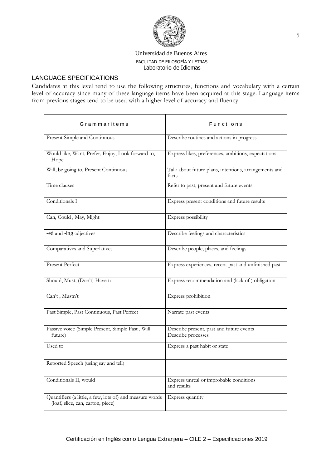

# LANGUAGE SPECIFICATIONS

Candidates at this level tend to use the following structures, functions and vocabulary with a certain level of accuracy since many of these language items have been acquired at this stage. Language items from previous stages tend to be used with a higher level of accuracy and fluency.

| Grammaritems                                                                                  | Functions                                                      |  |
|-----------------------------------------------------------------------------------------------|----------------------------------------------------------------|--|
| Present Simple and Continuous                                                                 | Describe routines and actions in progress                      |  |
| Would like, Want, Prefer, Enjoy, Look forward to,<br>Hope                                     | Express likes, preferences, ambitions, expectations            |  |
| Will, be going to, Present Continuous                                                         | Talk about future plans, intentions, arrangements and<br>facts |  |
| Time clauses                                                                                  | Refer to past, present and future events                       |  |
| Conditionals I                                                                                | Express present conditions and future results                  |  |
| Can, Could, May, Might                                                                        | Express possibility                                            |  |
| -ed and -ing adjectives                                                                       | Describe feelings and characteristics                          |  |
| Comparatives and Superlatives                                                                 | Describe people, places, and feelings                          |  |
| Present Perfect                                                                               | Express experiences, recent past and unfinished past           |  |
| Should, Must, (Don't) Have to                                                                 | Express recommendation and (lack of ) obligation               |  |
| Can't, Mustn't                                                                                | Express prohibition                                            |  |
| Past Simple, Past Continuous, Past Perfect                                                    | Narrate past events                                            |  |
| Passive voice (Simple Present, Simple Past, Will<br>future)                                   | Describe present, past and future events<br>Describe processes |  |
| Used to                                                                                       | Express a past habit or state                                  |  |
| Reported Speech (using say and tell)                                                          |                                                                |  |
| Conditionals II, would                                                                        | Express unreal or improbable conditions<br>and results         |  |
| Quantifiers (a little, a few, lots of) and measure words<br>(loaf, slice, can, carton, piece) | Express quantity                                               |  |